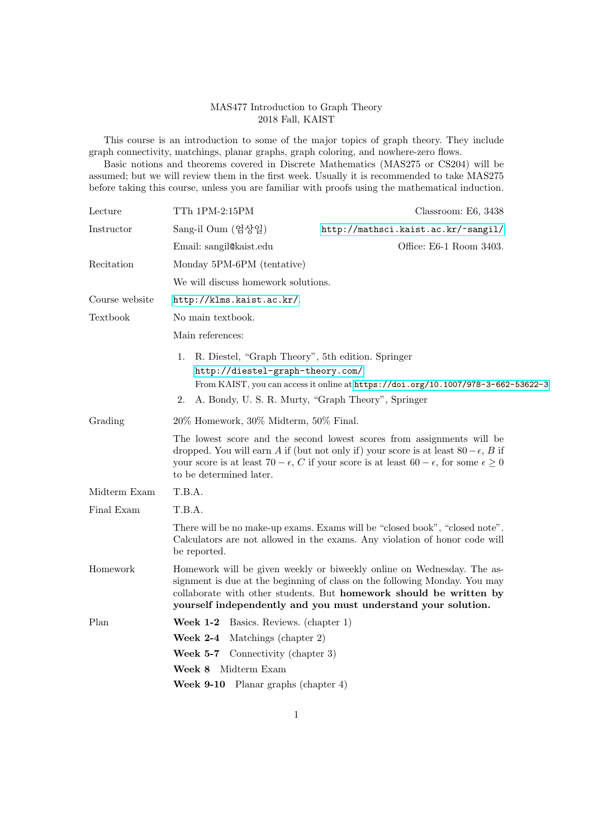## MAS477 Introduction to Graph Theory 2018 Fall, KAIST

This course is an introduction to some of the major topics of graph theory. They include graph connectivity, matchings, planar graphs, graph coloring, and nowhere-zero flows.

Basic notions and theorems covered in Discrete Mathematics (MAS275 or CS204) will be assumed; but we will review them in the first week. Usually it is recommended to take MAS275 before taking this course, unless you are familiar with proofs using the mathematical induction.

| Lecture        | TTh 1PM-2:15PM                                                                                                                                                                                                                                                                                                        | Classroom: E6, 3438                 |
|----------------|-----------------------------------------------------------------------------------------------------------------------------------------------------------------------------------------------------------------------------------------------------------------------------------------------------------------------|-------------------------------------|
| Instructor     | Sang-il Oum (엄상일)                                                                                                                                                                                                                                                                                                     | http://mathsci.kaist.ac.kr/~sangil/ |
|                | Email: sangil@kaist.edu                                                                                                                                                                                                                                                                                               | Office: E6-1 Room 3403.             |
| Recitation     | Monday 5PM-6PM (tentative)                                                                                                                                                                                                                                                                                            |                                     |
|                | We will discuss homework solutions.                                                                                                                                                                                                                                                                                   |                                     |
| Course website | http://klms.kaist.ac.kr/.                                                                                                                                                                                                                                                                                             |                                     |
| Textbook       | No main textbook.                                                                                                                                                                                                                                                                                                     |                                     |
|                | Main references:                                                                                                                                                                                                                                                                                                      |                                     |
|                | R. Diestel, "Graph Theory", 5th edition. Springer<br>1.<br>http://diestel-graph-theory.com/<br>From KAIST, you can access it online at https://doi.org/10.1007/978-3-662-53622-3<br>A. Bondy, U. S. R. Murty, "Graph Theory", Springer<br>2.                                                                          |                                     |
| Grading        | 20% Homework, 30% Midterm, 50% Final.                                                                                                                                                                                                                                                                                 |                                     |
|                | The lowest score and the second lowest scores from assignments will be<br>dropped. You will earn A if (but not only if) your score is at least $80 - \epsilon$ , B if<br>your score is at least 70 – $\epsilon$ , C if your score is at least 60 – $\epsilon$ , for some $\epsilon \geq 0$<br>to be determined later. |                                     |
| Midterm Exam   | T.B.A.                                                                                                                                                                                                                                                                                                                |                                     |
| Final Exam     | T.B.A.                                                                                                                                                                                                                                                                                                                |                                     |
|                | There will be no make-up exams. Exams will be "closed book", "closed note".<br>Calculators are not allowed in the exams. Any violation of honor code will<br>be reported.                                                                                                                                             |                                     |
| Homework       | Homework will be given weekly or biweekly online on Wednesday. The as-<br>signment is due at the beginning of class on the following Monday. You may<br>collaborate with other students. But homework should be written by<br>yourself independently and you must understand your solution.                           |                                     |
| Plan           | <b>Week 1-2</b> Basics. Reviews. (chapter 1)                                                                                                                                                                                                                                                                          |                                     |
|                | Week $2-4$<br>Matchings (chapter 2)                                                                                                                                                                                                                                                                                   |                                     |
|                | <b>Week 5-7</b> Connectivity (chapter 3)                                                                                                                                                                                                                                                                              |                                     |
|                | Midterm Exam<br>Week 8                                                                                                                                                                                                                                                                                                |                                     |
|                | <b>Week 9-10</b> Planar graphs (chapter $4$ )                                                                                                                                                                                                                                                                         |                                     |